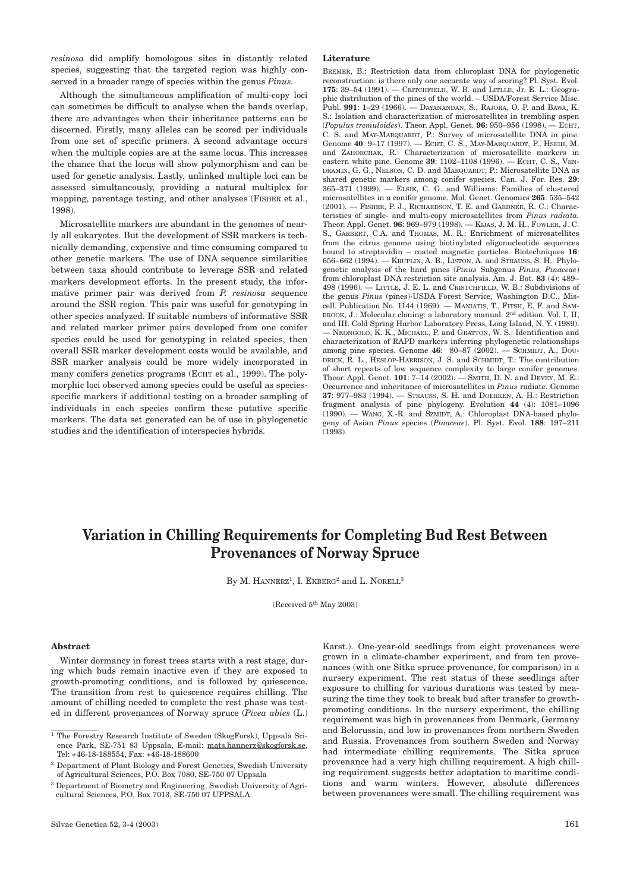*resinosa* did amplify homologous sites in distantly related species, suggesting that the targeted region was highly conserved in a broader range of species within the genus *Pinus.* 

Although the simultaneous amplification of multi-copy loci can sometimes be difficult to analyse when the bands overlap, there are advantages when their inheritance patterns can be discerned. Firstly, many alleles can be scored per individuals from one set of specific primers. A second advantage occurs when the multiple copies are at the same locus. This increases the chance that the locus will show polymorphism and can be used for genetic analysis. Lastly, unlinked multiple loci can be assessed simultaneously, providing a natural multiplex for mapping, parentage testing, and other analyses (FISHER et al., 1998).

Microsatellite markers are abundant in the genomes of nearly all eukaryotes. But the development of SSR markers is technically demanding, expensive and time consuming compared to other genetic markers. The use of DNA sequence similarities between taxa should contribute to leverage SSR and related markers development efforts. In the present study, the informative primer pair was derived from *P. resinosa* sequence around the SSR region. This pair was useful for genotyping in other species analyzed. If suitable numbers of informative SSR and related marker primer pairs developed from one conifer species could be used for genotyping in related species, then overall SSR marker development costs would be available, and SSR marker analysis could be more widely incorporated in many conifers genetics programs (ECHT et al., 1999). The polymorphic loci observed among species could be useful as speciesspecific markers if additional testing on a broader sampling of individuals in each species confirm these putative specific markers. The data set generated can be of use in phylogenetic studies and the identification of interspecies hybrids.

## **Literature**

BREMER, B.: Restriction data from chloroplast DNA for phylogenetic reconstruction: is there only one accurate way of scoring? Pl. Syst. Evol. **175**: 39–54 (1991). — CRITCHFIELD, W. B. and LITLLE, Jr. E. L.: Geographic distribution of the pines of the world. – USDA/Forest Service Misc. Publ. **991**: 1–29 (1966). — DAYANANDAN, S., RAJORA, O. P. and BAWA, K. S.: Isolation and characterization of microsatellites in trembling aspen (*Populus tremuloides*). Theor. Appl. Genet. **96**: 950–956 (1998). — ECHT, C. S. and MAY-MARQUARDT, P.: Survey of microsatellite DNA in pine. Genome **40**: 9–17 (1997). — ECHT, C. S., MAY-MARQUARDT, P., HSEIH, M. and ZAHORCHAK, R.: Characterization of microsatellite markers in eastern white pine. Genome **39**: 1102–1108 (1996). — ECHT, C. S., VEN-DRAMIN, G. G., NELSON, C. D. and MARQUARDT, P.: Microsatellite DNA as shared genetic markers among conifer species. Can. J. For. Res. **29**: 365–371 (1999). — ELSIK, C. G. and Williams: Families of clustered microsatellites in a conifer genome. Mol. Genet. Genomics **265**: 535–542 (2001). — FISHER, P. J., RICHARDSON, T. E. and GARDNER, R. C.: Characteristics of single- and multi-copy microsatellites from *Pinus radiata.* Theor. Appl. Genet. **96**: 969–979 (1998). — KIJAS, J. M. H., FOWLER, J. C. S., GARBERT, C.A. and THOMAS, M. R.: Enrichment of microsatellites from the citrus genome using biotinylated oligonucleotide sequences bound to streptavidin – coated magnetic particles. Biotechniques **16**: 656–662 (1994). — KRUPLIN, A. B., LISTON, A. and STRAUSS, S. H.: Phylogenetic analysis of the hard pines (*Pinus* Subgenus *Pinus, Pinaceae*) from chloroplast DNA restriction site analysis. Am. J. Bot. **83** (4): 489– 498 (1996). — LITTLE, J. E. L. and CRISTCHFIELD, W. B.: Subdivisions of the genus *Pinus* (pines)-USDA Forest Service, Washington D.C., Miscell. Publication No. 1144 (1969). — MANIATIS, T., FITSH, E. F. and SAM-BROOK, J.: Molecular cloning: a laboratory manual. 2<sup>nd</sup> edition. Vol. I, II, and III. Cold Spring Harbor Laboratory Press, Long Island, N. Y. (1989). — NKONGOLO, K. K., MICHAEL, P. and GRATTON, W. S.: Identification and characterization of RAPD markers inferring phylogenetic relationships among pine species. Genome **46**: 80–87 (2002). — SCHMIDT, A., DOU-DRICK, R. L., HESLOP-HARRISON, J. S. and SCHMIDT, T.: The contribution of short repeats of low sequence complexity to large conifer genomes. Theor. Appl. Genet. **101**: 7–14 (2002). — SMITH, D. N. and DEVEY, M. E.: Occurrence and inheritance of microsatellites in *Pinus* radiate. Genome **37**: 977–983 (1994). — STRAUSS, S. H. and DOERKEN, A. H.: Restriction fragment analysis of pine phylogeny. Evolution **44** (4): 1081–1096 (1990). — WANG, X.-R. and SZMIDT, A.: Chloroplast DNA-based phylogeny of Asian *Pinus* species (*Pinaceae*). Pl. Syst. Evol. **188**: 197–211 (1993).

# **Variation in Chilling Requirements for Completing Bud Rest Between Provenances of Norway Spruce**

By M. HANNERZ<sup>1</sup>, I. EKBERG<sup>2</sup> and L. NORELL<sup>3</sup>

(Received 5th May 2003)

# **Abstract**

Winter dormancy in forest trees starts with a rest stage, during which buds remain inactive even if they are exposed to growth-promoting conditions, and is followed by quiescence. The transition from rest to quiescence requires chilling. The amount of chilling needed to complete the rest phase was tested in different provenances of Norway spruce (*Picea abies* (L.) Karst.). One-year-old seedlings from eight provenances were grown in a climate-chamber experiment, and from ten provenances (with one Sitka spruce provenance, for comparison) in a nursery experiment. The rest status of these seedlings after exposure to chilling for various durations was tested by measuring the time they took to break bud after transfer to growthpromoting conditions. In the nursery experiment, the chilling requirement was high in provenances from Denmark, Germany and Belorussia, and low in provenances from northern Sweden and Russia. Provenances from southern Sweden and Norway had intermediate chilling requirements. The Sitka spruce provenance had a very high chilling requirement. A high chilling requirement suggests better adaptation to maritime conditions and warm winters. However, absolute differences between provenances were small. The chilling requirement was

 $\frac{1}{1}$  The Forestry Research Institute of Sweden (SkogForsk), Uppsala Science Park, SE-751 83 Uppsala, E-mail: mats.hannerz@skogforsk.se, Tel: +46-18-188554, Fax: +46-18-188600

<sup>2</sup> Department of Plant Biology and Forest Genetics, Swedish University of Agricultural Sciences, P.O. Box 7080, SE-750 07 Uppsala

<sup>3</sup> Department of Biometry and Engineering, Swedish University of Agricultural Sciences, P.O. Box 7013, SE-750 07 UPPSALA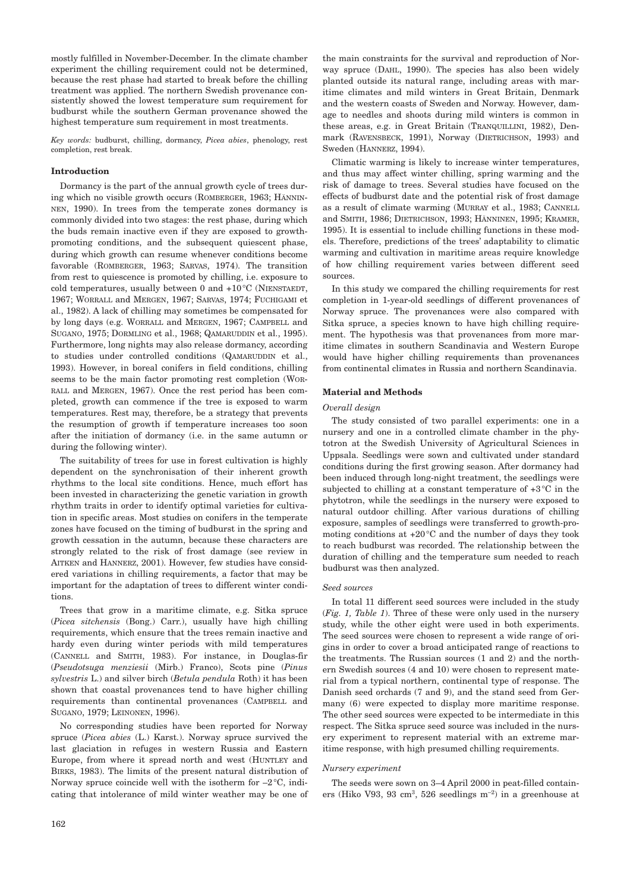mostly fulfilled in November-December. In the climate chamber experiment the chilling requirement could not be determined, because the rest phase had started to break before the chilling treatment was applied. The northern Swedish provenance consistently showed the lowest temperature sum requirement for budburst while the southern German provenance showed the highest temperature sum requirement in most treatments.

*Key words:* budburst, chilling, dormancy, *Picea abies*, phenology, rest completion, rest break.

# **Introduction**

Dormancy is the part of the annual growth cycle of trees during which no visible growth occurs (ROMBERGER, 1963; HÄNNIN-NEN, 1990). In trees from the temperate zones dormancy is commonly divided into two stages: the rest phase, during which the buds remain inactive even if they are exposed to growthpromoting conditions, and the subsequent quiescent phase, during which growth can resume whenever conditions become favorable (ROMBERGER, 1963; SARVAS, 1974). The transition from rest to quiescence is promoted by chilling, i.e. exposure to cold temperatures, usually between 0 and +10°C (NIENSTAEDT, 1967; WORRALL and MERGEN, 1967; SARVAS, 1974; FUCHIGAMI et al., 1982). A lack of chilling may sometimes be compensated for by long days (e.g. WORRALL and MERGEN, 1967; CAMPBELL and SUGANO, 1975; DORMLING et al., 1968; QAMARUDDIN et al., 1995). Furthermore, long nights may also release dormancy, according to studies under controlled conditions (QAMARUDDIN et al., 1993). However, in boreal conifers in field conditions, chilling seems to be the main factor promoting rest completion (WOR-RALL and MERGEN, 1967). Once the rest period has been completed, growth can commence if the tree is exposed to warm temperatures. Rest may, therefore, be a strategy that prevents the resumption of growth if temperature increases too soon after the initiation of dormancy (i.e. in the same autumn or during the following winter).

The suitability of trees for use in forest cultivation is highly dependent on the synchronisation of their inherent growth rhythms to the local site conditions. Hence, much effort has been invested in characterizing the genetic variation in growth rhythm traits in order to identify optimal varieties for cultivation in specific areas. Most studies on conifers in the temperate zones have focused on the timing of budburst in the spring and growth cessation in the autumn, because these characters are strongly related to the risk of frost damage (see review in AITKEN and HANNERZ, 2001). However, few studies have considered variations in chilling requirements, a factor that may be important for the adaptation of trees to different winter conditions.

Trees that grow in a maritime climate, e.g. Sitka spruce (*Picea sitchensis* (Bong.) Carr.), usually have high chilling requirements, which ensure that the trees remain inactive and hardy even during winter periods with mild temperatures (CANNELL and SMITH, 1983). For instance, in Douglas-fir (*Pseudotsuga menziesii* (Mirb.) Franco), Scots pine (*Pinus sylvestris* L.) and silver birch (*Betula pendula* Roth) it has been shown that coastal provenances tend to have higher chilling requirements than continental provenances (CAMPBELL and SUGANO, 1979; LEINONEN, 1996).

No corresponding studies have been reported for Norway spruce (*Picea abies* (L.) Karst.). Norway spruce survived the last glaciation in refuges in western Russia and Eastern Europe, from where it spread north and west (HUNTLEY and BIRKS, 1983). The limits of the present natural distribution of Norway spruce coincide well with the isotherm for  $-2^{\circ}C$ , indicating that intolerance of mild winter weather may be one of

the main constraints for the survival and reproduction of Norway spruce (DAHL, 1990). The species has also been widely planted outside its natural range, including areas with maritime climates and mild winters in Great Britain, Denmark and the western coasts of Sweden and Norway. However, damage to needles and shoots during mild winters is common in these areas, e.g. in Great Britain (TRANQUILLINI, 1982), Denmark (RAVENSBECK, 1991), Norway (DIETRICHSON, 1993) and Sweden (HANNERZ, 1994).

Climatic warming is likely to increase winter temperatures, and thus may affect winter chilling, spring warming and the risk of damage to trees. Several studies have focused on the effects of budburst date and the potential risk of frost damage as a result of climate warming (MURRAY et al., 1983; CANNELL and SMITH, 1986; DIETRICHSON, 1993; HÄNNINEN, 1995; KRAMER, 1995). It is essential to include chilling functions in these models. Therefore, predictions of the trees' adaptability to climatic warming and cultivation in maritime areas require knowledge of how chilling requirement varies between different seed sources.

In this study we compared the chilling requirements for rest completion in 1-year-old seedlings of different provenances of Norway spruce. The provenances were also compared with Sitka spruce, a species known to have high chilling requirement. The hypothesis was that provenances from more maritime climates in southern Scandinavia and Western Europe would have higher chilling requirements than provenances from continental climates in Russia and northern Scandinavia.

# **Material and Methods**

# *Overall design*

The study consisted of two parallel experiments: one in a nursery and one in a controlled climate chamber in the phytotron at the Swedish University of Agricultural Sciences in Uppsala. Seedlings were sown and cultivated under standard conditions during the first growing season. After dormancy had been induced through long-night treatment, the seedlings were subjected to chilling at a constant temperature of +3°C in the phytotron, while the seedlings in the nursery were exposed to natural outdoor chilling. After various durations of chilling exposure, samples of seedlings were transferred to growth-promoting conditions at +20°C and the number of days they took to reach budburst was recorded. The relationship between the duration of chilling and the temperature sum needed to reach budburst was then analyzed.

# *Seed sources*

In total 11 different seed sources were included in the study (*Fig. 1, Table 1*). Three of these were only used in the nursery study, while the other eight were used in both experiments. The seed sources were chosen to represent a wide range of origins in order to cover a broad anticipated range of reactions to the treatments. The Russian sources (1 and 2) and the northern Swedish sources (4 and 10) were chosen to represent material from a typical northern, continental type of response. The Danish seed orchards (7 and 9), and the stand seed from Germany (6) were expected to display more maritime response. The other seed sources were expected to be intermediate in this respect. The Sitka spruce seed source was included in the nursery experiment to represent material with an extreme maritime response, with high presumed chilling requirements.

# *Nursery experiment*

The seeds were sown on 3–4 April 2000 in peat-filled containers (Hiko V93, 93 cm3, 526 seedlings m–2) in a greenhouse at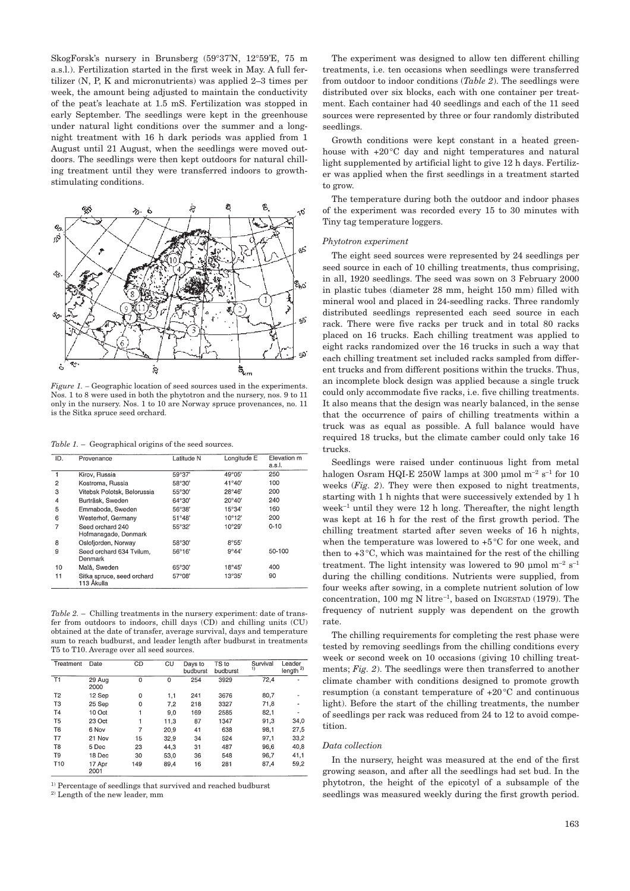SkogForsk's nursery in Brunsberg (59°37'N, 12°59'E, 75 m a.s.l.). Fertilization started in the first week in May. A full fertilizer (N, P, K and micronutrients) was applied 2–3 times per week, the amount being adjusted to maintain the conductivity of the peat's leachate at 1.5 mS. Fertilization was stopped in early September. The seedlings were kept in the greenhouse under natural light conditions over the summer and a longnight treatment with 16 h dark periods was applied from 1 August until 21 August, when the seedlings were moved outdoors. The seedlings were then kept outdoors for natural chilling treatment until they were transferred indoors to growthstimulating conditions.



*Figure 1.* – Geographic location of seed sources used in the experiments. Nos. 1 to 8 were used in both the phytotron and the nursery, nos. 9 to 11 only in the nursery. Nos. 1 to 10 are Norway spruce provenances, no. 11 is the Sitka spruce seed orchard.

*Table 1.* – Geographical origins of the seed sources.

| ID.            | Provenance                               | Latitude N      | Longitude E     | Elevation m<br>a.s.l. |
|----------------|------------------------------------------|-----------------|-----------------|-----------------------|
|                | Kirov, Russia                            | 59°37'          | 49°05'          | 250                   |
| 2              | Kostroma, Russia                         | 58°30'          | $41^{\circ}40'$ | 100                   |
| 3              | Vitebsk Polotsk, Belorussia              | 55°30'          | $28^{\circ}46'$ | 200                   |
| $\overline{4}$ | Burträsk, Sweden                         | 64°30'          | $20^{\circ}40'$ | 240                   |
| 5              | Emmaboda, Sweden                         | 56°38'          | 15°34'          | 160                   |
| 6              | Westerhof, Germany                       | $51^{\circ}48'$ | $10^{\circ}12'$ | 200                   |
| 7              | Seed orchard 240<br>Hofmansgade, Denmark | 55°32'          | 10°29'          | $0 - 10$              |
| 8              | Oslofjorden, Norway                      | 58°30'          | 8°55'           |                       |
| 9              | Seed orchard 634 Tvilum.<br>Denmark      | $56^{\circ}16'$ | 9°44'           | 50-100                |
| 10             | Malå, Sweden                             | 65°30'          | 18°45'          | 400                   |
| 11             | Sitka spruce, seed orchard<br>113 Åkulla | 57°08'          | 13°35'          | 90                    |

*Table 2.* – Chilling treatments in the nursery experiment: date of transfer from outdoors to indoors, chill days (CD) and chilling units (CU) obtained at the date of transfer, average survival, days and temperature sum to reach budburst, and leader length after budburst in treatments T5 to T10. Average over all seed sources.

| Treatment       | Date           | CD  | CU   | Days to<br>budburst | TS to<br>budburst | Survival<br>1) | Leader<br>length $2$ |
|-----------------|----------------|-----|------|---------------------|-------------------|----------------|----------------------|
| T1              | 29 Aug<br>2000 | 0   | 0    | 254                 | 3929              | 72,4           |                      |
| T <sub>2</sub>  | 12 Sep         | 0   | 1,1  | 241                 | 3676              | 80,7           |                      |
| T <sub>3</sub>  | 25 Sep         | 0   | 7,2  | 218                 | 3327              | 71,8           |                      |
| <b>T4</b>       | 10 Oct         | 1   | 9.0  | 169                 | 2585              | 82,1           |                      |
| T5              | 23 Oct         | 1   | 11,3 | 87                  | 1347              | 91,3           | 34,0                 |
| T6              | 6 Nov          | 7   | 20.9 | 41                  | 638               | 98,1           | 27,5                 |
| T7              | 21 Nov         | 15  | 32,9 | 34                  | 524               | 97.1           | 33,2                 |
| T8              | 5 Dec          | 23  | 44.3 | 31                  | 487               | 96,6           | 40,8                 |
| T9              | 18 Dec         | 30  | 53,0 | 36                  | 548               | 96,7           | 41,1                 |
| T <sub>10</sub> | 17 Apr<br>2001 | 149 | 89.4 | 16                  | 281               | 87,4           | 59,2                 |

 $^{\rm 1)}$  Percentage of seedlings that survived and reached budburst 2) Length of the new leader, mm

The experiment was designed to allow ten different chilling treatments, i.e. ten occasions when seedlings were transferred from outdoor to indoor conditions (*Table 2*). The seedlings were distributed over six blocks, each with one container per treatment. Each container had 40 seedlings and each of the 11 seed sources were represented by three or four randomly distributed seedlings.

Growth conditions were kept constant in a heated greenhouse with +20°C day and night temperatures and natural light supplemented by artificial light to give 12 h days. Fertilizer was applied when the first seedlings in a treatment started to grow.

The temperature during both the outdoor and indoor phases of the experiment was recorded every 15 to 30 minutes with Tiny tag temperature loggers.

### *Phytotron experiment*

The eight seed sources were represented by 24 seedlings per seed source in each of 10 chilling treatments, thus comprising, in all, 1920 seedlings. The seed was sown on 3 February 2000 in plastic tubes (diameter 28 mm, height 150 mm) filled with mineral wool and placed in 24-seedling racks. Three randomly distributed seedlings represented each seed source in each rack. There were five racks per truck and in total 80 racks placed on 16 trucks. Each chilling treatment was applied to eight racks randomized over the 16 trucks in such a way that each chilling treatment set included racks sampled from different trucks and from different positions within the trucks. Thus, an incomplete block design was applied because a single truck could only accommodate five racks, i.e. five chilling treatments. It also means that the design was nearly balanced, in the sense that the occurrence of pairs of chilling treatments within a truck was as equal as possible. A full balance would have required 18 trucks, but the climate camber could only take 16 trucks.

Seedlings were raised under continuous light from metal halogen Osram HQI-E 250W lamps at 300 µmol m<sup>-2</sup> s<sup>-1</sup> for 10 weeks (*Fig. 2*). They were then exposed to night treatments, starting with 1 h nights that were successively extended by 1 h week $^{-1}$  until they were 12 h long. Thereafter, the night length was kept at 16 h for the rest of the first growth period. The chilling treatment started after seven weeks of 16 h nights, when the temperature was lowered to +5°C for one week, and then to +3°C, which was maintained for the rest of the chilling treatment. The light intensity was lowered to 90 µmol  $m^{-2} s^{-1}$ during the chilling conditions. Nutrients were supplied, from four weeks after sowing, in a complete nutrient solution of low concentration, 100 mg N litre–1, based on INGESTAD (1979). The frequency of nutrient supply was dependent on the growth rate.

The chilling requirements for completing the rest phase were tested by removing seedlings from the chilling conditions every week or second week on 10 occasions (giving 10 chilling treatments; *Fig. 2*). The seedlings were then transferred to another climate chamber with conditions designed to promote growth resumption (a constant temperature of +20°C and continuous light). Before the start of the chilling treatments, the number of seedlings per rack was reduced from 24 to 12 to avoid competition.

# *Data collection*

In the nursery, height was measured at the end of the first growing season, and after all the seedlings had set bud. In the phytotron, the height of the epicotyl of a subsample of the seedlings was measured weekly during the first growth period.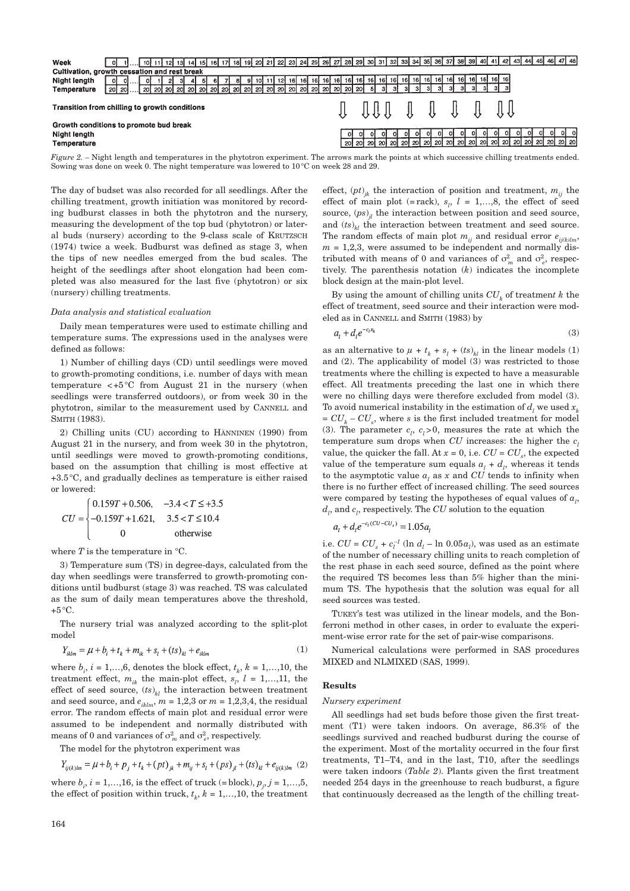

*Figure 2.* – Night length and temperatures in the phytotron experiment. The arrows mark the points at which successive chilling treatments ended. Sowing was done on week 0. The night temperature was lowered to 10°C on week 28 and 29.

The day of budset was also recorded for all seedlings. After the chilling treatment, growth initiation was monitored by recording budburst classes in both the phytotron and the nursery, measuring the development of the top bud (phytotron) or lateral buds (nursery) according to the 9-class scale of KRUTZSCH (1974) twice a week. Budburst was defined as stage 3, when the tips of new needles emerged from the bud scales. The height of the seedlings after shoot elongation had been completed was also measured for the last five (phytotron) or six (nursery) chilling treatments.

## *Data analysis and statistical evaluation*

Daily mean temperatures were used to estimate chilling and temperature sums. The expressions used in the analyses were defined as follows:

1) Number of chilling days (CD) until seedlings were moved to growth-promoting conditions, i.e. number of days with mean temperature  $\lt +5^{\circ}$ C from August 21 in the nursery (when seedlings were transferred outdoors), or from week 30 in the phytotron, similar to the measurement used by CANNELL and SMITH (1983).

2) Chilling units (CU) according to HÄNNINEN (1990) from August 21 in the nursery, and from week 30 in the phytotron, until seedlings were moved to growth-promoting conditions, based on the assumption that chilling is most effective at +3.5°C, and gradually declines as temperature is either raised or lowered:

$$
CU = \begin{cases} 0.159T + 0.506, & -3.4 < T \leq +3.5\\ -0.159T + 1.621, & 3.5 < T \leq 10.4\\ 0 & \text{otherwise} \end{cases}
$$

where  $T$  is the temperature in  $\degree$ C.

3) Temperature sum (TS) in degree-days, calculated from the day when seedlings were transferred to growth-promoting conditions until budburst (stage 3) was reached. TS was calculated as the sum of daily mean temperatures above the threshold,  $+5\,^{\circ}\mathrm{C}$ .

The nursery trial was analyzed according to the split-plot model

$$
Y_{iklm} = \mu + b_i + t_k + m_{ik} + s_l + (ts)_{kl} + e_{iklm}
$$
 (1)

where  $b_i$ ,  $i = 1,...,6$ , denotes the block effect,  $t_k$ ,  $k = 1,...,10$ , the treatment effect,  $m_{ik}$  the main-plot effect,  $s_l$ ,  $l = 1,...,11$ , the effect of seed source,  $(ts)_{kl}$  the interaction between treatment and seed source, and  $e_{iklm}$ ,  $m = 1,2,3$  or  $m = 1,2,3,4$ , the residual error. The random effects of main plot and residual error were assumed to be independent and normally distributed with means of 0 and variances of  $\sigma_m^2$  and  $\sigma_e^2$ , respectively.

The model for the phytotron experiment was

$$
Y_{ij(k)lm} = \mu + b_i + p_j + t_k + (pt)_{jk} + m_{ij} + s_l + (ps)_{jl} + (ts)_{kl} + e_{ij(k)lm} \tag{2}
$$

where  $b_i$ ,  $i = 1,...,16$ , is the effect of truck (= block),  $p_j$ ,  $j = 1,...,5$ , the effect of position within truck,  $t_k$ ,  $k = 1,...,10$ , the treatment effect,  $(pt)_{ik}$  the interaction of position and treatment,  $m_{ij}$  the effect of main plot (= rack),  $s_l$ ,  $l = 1,...,8$ , the effect of seed source,  $(ps)_{ij}$  the interaction between position and seed source, and  $(ts)_{kl}$  the interaction between treatment and seed source. The random effects of main plot  $m_{ij}$  and residual error  $e_{ij(k)lm}$ ,  $m = 1,2,3$ , were assumed to be independent and normally distributed with means of 0 and variances of  $\sigma_m^2$  and  $\sigma_e^2$ , respectively. The parenthesis notation (*k*) indicates the incomplete block design at the main-plot level.

By using the amount of chilling units  $CU<sub>k</sub>$  of treatment k the effect of treatment, seed source and their interaction were modeled as in CANNELL and SMITH (1983) by

$$
a_t + d_t e^{-c_t x_k} \tag{3}
$$

as an alternative to  $\mu + t_k + s_l + (ts)_{kl}$  in the linear models (1) and (2). The applicability of model (3) was restricted to those treatments where the chilling is expected to have a measurable effect. All treatments preceding the last one in which there were no chilling days were therefore excluded from model (3). To avoid numerical instability in the estimation of  $d_i$ , we used  $x_i$  $= CU_k - CU_s$ , where *s* is the first included treatment for model (3). The parameter  $c_l$ ,  $c_l > 0$ , measures the rate at which the temperature sum drops when  $CU$  increases: the higher the  $c_l$ value, the quicker the fall. At  $x = 0$ , i.e.  $CU = CU_s$ , the expected value of the temperature sum equals  $a_l + d_l$ , whereas it tends to the asymptotic value  $a_i$  as  $x$  and  $CU$  tends to infinity when there is no further effect of increased chilling. The seed sources were compared by testing the hypotheses of equal values of  $a<sub>l</sub>$ ,  $d_l$ , and  $c_l$ , respectively. The  $CU$  solution to the equation

$$
a_i + d_i e^{-c_i(CU - CU_s)} = 1.05 a_i
$$

i.e.  $CU = CU_s + c_l^{-1}$  (ln  $d_l$  – ln 0.05 $a_l$ ), was used as an estimate of the number of necessary chilling units to reach completion of the rest phase in each seed source, defined as the point where the required TS becomes less than 5% higher than the minimum TS. The hypothesis that the solution was equal for all seed sources was tested.

TUKEY's test was utilized in the linear models, and the Bonferroni method in other cases, in order to evaluate the experiment-wise error rate for the set of pair-wise comparisons.

Numerical calculations were performed in SAS procedures MIXED and NLMIXED (SAS, 1999).

## **Results**

### *Nursery experiment*

All seedlings had set buds before those given the first treatment (T1) were taken indoors. On average, 86.3% of the seedlings survived and reached budburst during the course of the experiment. Most of the mortality occurred in the four first treatments, T1–T4, and in the last, T10, after the seedlings were taken indoors (*Table 2*). Plants given the first treatment needed 254 days in the greenhouse to reach budburst, a figure that continuously decreased as the length of the chilling treat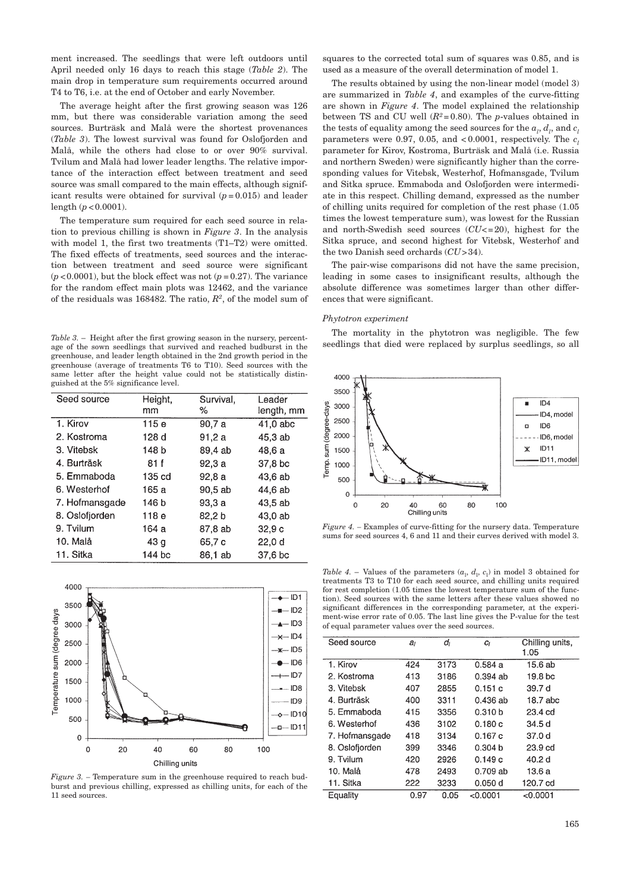ment increased. The seedlings that were left outdoors until April needed only 16 days to reach this stage (*Table 2*). The main drop in temperature sum requirements occurred around T4 to T6, i.e. at the end of October and early November.

The average height after the first growing season was 126 mm, but there was considerable variation among the seed sources. Burträsk and Malå were the shortest provenances (*Table 3*). The lowest survival was found for Oslofjorden and Malå, while the others had close to or over 90% survival. Tvilum and Malå had lower leader lengths. The relative importance of the interaction effect between treatment and seed source was small compared to the main effects, although significant results were obtained for survival  $(p=0.015)$  and leader length (*p* <0.0001).

The temperature sum required for each seed source in relation to previous chilling is shown in *Figure 3*. In the analysis with model 1, the first two treatments (T1–T2) were omitted. The fixed effects of treatments, seed sources and the interaction between treatment and seed source were significant  $(p<0.0001)$ , but the block effect was not  $(p=0.27)$ . The variance for the random effect main plots was 12462, and the variance of the residuals was 168482. The ratio, *R2*, of the model sum of

*Table 3.* – Height after the first growing season in the nursery, percentage of the sown seedlings that survived and reached budburst in the greenhouse, and leader length obtained in the 2nd growth period in the greenhouse (average of treatments T6 to T10). Seed sources with the same letter after the height value could not be statistically distinguished at the 5% significance level.

| Seed source    | Height,<br>mm   | Survival,<br>℅ | Leader<br>length, mm |
|----------------|-----------------|----------------|----------------------|
| 1. Kirov       | 115 e           | 90,7 a         | $41,0$ abc           |
| 2. Kostroma    | 128 d           | 91,2a          | 45,3 ab              |
| 3. Vitebsk     | 148 b           | 89,4 ab        | 48.6 a               |
| 4. Burträsk    | 81 f            | 92,3a          | 37,8 bc              |
| 5. Emmaboda    | 135 cd          | 92.8a          | 43.6 ab              |
| 6. Westerhof   | 165 а           | 90.5 ab        | 44,6 ab              |
| 7. Hofmansgade | 146 b           | 93.3a          | 43.5 ab              |
| 8. Oslofjorden | 118 e           | 82.2 b         | 43,0 ab              |
| 9. Tvilum      | 164 a           | 87,8 ab        | 32.9c                |
| 10. Malå       | 43 <sub>q</sub> | 65,7 c         | 22,0d                |
| 11. Sitka      | 144 bc          | 86,1 ab        | 37,6 bc              |



*Figure 3. –* Temperature sum in the greenhouse required to reach budburst and previous chilling, expressed as chilling units, for each of the 11 seed sources.

squares to the corrected total sum of squares was 0.85, and is used as a measure of the overall determination of model 1.

The results obtained by using the non-linear model (model 3) are summarized in *Table 4*, and examples of the curve-fitting are shown in *Figure 4*. The model explained the relationship between TS and CU well (*R2*= 0.80). The *p*-values obtained in the tests of equality among the seed sources for the  $a_l, d_l$ , and  $c_l$ parameters were 0.97, 0.05, and  $<0.0001$ , respectively. The  $c_i$ parameter for Kirov, Kostroma, Burträsk and Malå (i.e. Russia and northern Sweden) were significantly higher than the corresponding values for Vitebsk, Westerhof, Hofmansgade, Tvilum and Sitka spruce. Emmaboda and Oslofjorden were intermediate in this respect. Chilling demand, expressed as the number of chilling units required for completion of the rest phase (1.05 times the lowest temperature sum), was lowest for the Russian and north-Swedish seed sources ( $CU \leq 20$ ), highest for the Sitka spruce, and second highest for Vitebsk, Westerhof and the two Danish seed orchards (*CU*>34).

The pair-wise comparisons did not have the same precision, leading in some cases to insignificant results, although the absolute difference was sometimes larger than other differences that were significant.

# *Phytotron experiment*

The mortality in the phytotron was negligible. The few seedlings that died were replaced by surplus seedlings, so all



*Figure 4. –* Examples of curve-fitting for the nursery data. Temperature sums for seed sources 4, 6 and 11 and their curves derived with model 3.

*Table 4.* – Values of the parameters  $(a_1, d_1, c_1)$  in model 3 obtained for treatments T3 to T10 for each seed source, and chilling units required for rest completion (1.05 times the lowest temperature sum of the function). Seed sources with the same letters after these values showed no significant differences in the corresponding parameter, at the experiment-wise error rate of 0.05. The last line gives the P-value for the test of equal parameter values over the seed sources.

| Seed source    | a,   | dı   | Cı         | Chilling units,<br>1.05 |
|----------------|------|------|------------|-------------------------|
| 1. Kirov       | 424  | 3173 | 0.584a     | 15.6 ab                 |
| 2. Kostroma    | 413  | 3186 | 0.394 ab   | 19.8 bc                 |
| 3. Vitebsk     | 407  | 2855 | 0.151 c    | 39.7 d                  |
| 4 Burträsk     | 400  | 3311 | 0.436 ab   | 18.7 abc                |
| 5. Emmaboda    | 415  | 3356 | 0.310 b    | $23.4$ cd               |
| 6. Westerhof   | 436  | 3102 | 0.180 c    | 34.5 d                  |
| 7. Hofmansgade | 418  | 3134 | 0.167 c    | 37.0 d                  |
| 8. Oslofjorden | 399  | 3346 | 0.304 b    | 23.9 <sub>cd</sub>      |
| 9. Tvilum      | 420  | 2926 | 0.149c     | 40.2 d                  |
| 10. Malå       | 478  | 2493 | $0.709$ ab | 13.6 a                  |
| 11. Sitka      | 222  | 3233 | 0.050 d    | 120.7 cd                |
| Equality       | 0.97 | 0.05 | $<$ 0.0001 | < 0.0001                |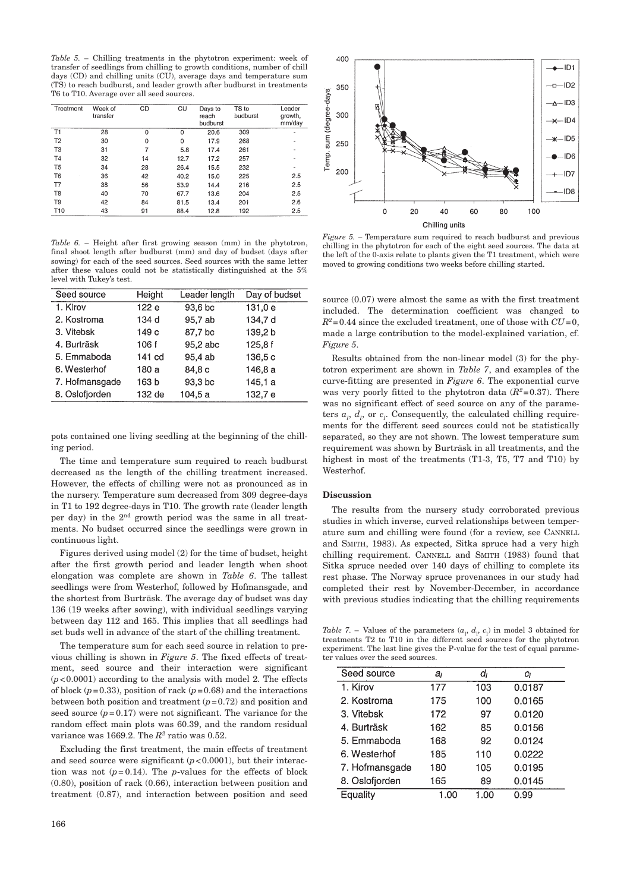*Table 5.* – Chilling treatments in the phytotron experiment: week of transfer of seedlings from chilling to growth conditions, number of chill days (CD) and chilling units (CU), average days and temperature sum (TS) to reach budburst, and leader growth after budburst in treatments T6 to T10. Average over all seed sources.

| Treatment       | Week of<br>transfer | CD       | $\overline{C}U$ | Days to<br>reach<br>budburst | TS to<br>budburst | Leader<br>growth.<br>mm/day |
|-----------------|---------------------|----------|-----------------|------------------------------|-------------------|-----------------------------|
| T1              | 28                  | $\Omega$ | 0               | 20.6                         | 309               |                             |
| T <sub>2</sub>  | 30                  | 0        | 0               | 17.9                         | 268               |                             |
| T <sub>3</sub>  | 31                  | 7        | 5.8             | 17.4                         | 261               | $\overline{\phantom{0}}$    |
| T <sub>4</sub>  | 32                  | 14       | 12.7            | 17.2                         | 257               |                             |
| T <sub>5</sub>  | 34                  | 28       | 26.4            | 15.5                         | 232               | ۰                           |
| T <sub>6</sub>  | 36                  | 42       | 40.2            | 15.0                         | 225               | 2.5                         |
| T7              | 38                  | 56       | 53.9            | 14.4                         | 216               | 2.5                         |
| T <sub>8</sub>  | 40                  | 70       | 67.7            | 13.6                         | 204               | 2.5                         |
| T9              | 42                  | 84       | 81.5            | 13.4                         | 201               | 2.6                         |
| T <sub>10</sub> | 43                  | 91       | 88.4            | 12.8                         | 192               | 2.5                         |

*Table 6.* – Height after first growing season (mm) in the phytotron, final shoot length after budburst (mm) and day of budset (days after sowing) for each of the seed sources. Seed sources with the same letter after these values could not be statistically distinguished at the 5% level with Tukey's test.

| Seed source    | Height           | Leader length | Day of budset |
|----------------|------------------|---------------|---------------|
| 1. Kirov       | 122 e            | 93,6 bc       | 131,0 e       |
| 2. Kostroma    | 134 d            | 95,7 ab       | 134,7 d       |
| 3. Vitebsk     | 149 <sub>c</sub> | 87,7 bc       | 139,2b        |
| 4. Burträsk    | 106 f            | 95.2 abc      | 125.8f        |
| 5. Emmaboda    | 141 cd           | 95.4 ab       | 136,5c        |
| 6. Westerhof   | 180 a            | 84.8 c        | 146,8 a       |
| 7. Hofmansgade | 163 b            | 93.3 bc       | 145,1 a       |
| 8. Oslofjorden | 132 de           | 104, 5a       | 132,7 e       |

pots contained one living seedling at the beginning of the chilling period.

The time and temperature sum required to reach budburst decreased as the length of the chilling treatment increased. However, the effects of chilling were not as pronounced as in the nursery. Temperature sum decreased from 309 degree-days in T1 to 192 degree-days in T10. The growth rate (leader length per day) in the 2nd growth period was the same in all treatments. No budset occurred since the seedlings were grown in continuous light.

Figures derived using model (2) for the time of budset, height after the first growth period and leader length when shoot elongation was complete are shown in *Table 6*. The tallest seedlings were from Westerhof, followed by Hofmansgade, and the shortest from Burträsk. The average day of budset was day 136 (19 weeks after sowing), with individual seedlings varying between day 112 and 165. This implies that all seedlings had set buds well in advance of the start of the chilling treatment.

The temperature sum for each seed source in relation to previous chilling is shown in *Figure 5*. The fixed effects of treatment, seed source and their interaction were significant  $(p<0.0001)$  according to the analysis with model 2. The effects of block  $(p=0.33)$ , position of rack  $(p=0.68)$  and the interactions between both position and treatment (*p*=0.72) and position and seed source  $(p=0.17)$  were not significant. The variance for the random effect main plots was 60.39, and the random residual variance was 1669.2. The *R2* ratio was 0.52.

Excluding the first treatment, the main effects of treatment and seed source were significant  $(p<0.0001)$ , but their interaction was not  $(p= 0.14)$ . The *p*-values for the effects of block (0.80), position of rack (0.66), interaction between position and treatment (0.87), and interaction between position and seed



*Figure 5. –* Temperature sum required to reach budburst and previous chilling in the phytotron for each of the eight seed sources. The data at the left of the 0-axis relate to plants given the T1 treatment, which were moved to growing conditions two weeks before chilling started.

source (0.07) were almost the same as with the first treatment included. The determination coefficient was changed to  $R^2$ =0.44 since the excluded treatment, one of those with  $CU=0$ , made a large contribution to the model-explained variation, cf. *Figure 5*.

Results obtained from the non-linear model (3) for the phytotron experiment are shown in *Table 7*, and examples of the curve-fitting are presented in *Figure 6*. The exponential curve was very poorly fitted to the phytotron data  $(R^2=0.37)$ . There was no significant effect of seed source on any of the parameters  $a_l$ ,  $d_l$ , or  $c_l$ . Consequently, the calculated chilling requirements for the different seed sources could not be statistically separated, so they are not shown. The lowest temperature sum requirement was shown by Burträsk in all treatments, and the highest in most of the treatments (T1-3, T5, T7 and T10) by Westerhof.

# **Discussion**

The results from the nursery study corroborated previous studies in which inverse, curved relationships between temperature sum and chilling were found (for a review, see CANNELL and SMITH, 1983). As expected, Sitka spruce had a very high chilling requirement. CANNELL and SMITH (1983) found that Sitka spruce needed over 140 days of chilling to complete its rest phase. The Norway spruce provenances in our study had completed their rest by November-December, in accordance with previous studies indicating that the chilling requirements

*Table 7.* – Values of the parameters  $(a_1, d_1, c_1)$  in model 3 obtained for treatments T2 to T10 in the different seed sources for the phytotron experiment. The last line gives the P-value for the test of equal parameter values over the seed sources.

| Seed source    | aı   | dı   | Cı     |
|----------------|------|------|--------|
| 1. Kirov       | 177  | 103  | 0.0187 |
| 2. Kostroma    | 175  | 100  | 0.0165 |
| 3. Vitebsk     | 172  | 97   | 0.0120 |
| 4. Burträsk    | 162  | 85   | 0.0156 |
| 5. Emmaboda    | 168  | 92   | 0.0124 |
| 6. Westerhof   | 185  | 110  | 0.0222 |
| 7. Hofmansgade | 180  | 105  | 0.0195 |
| 8. Oslofjorden | 165  | 89   | 0.0145 |
| Equality       | 1.00 | 1.00 | 0.99   |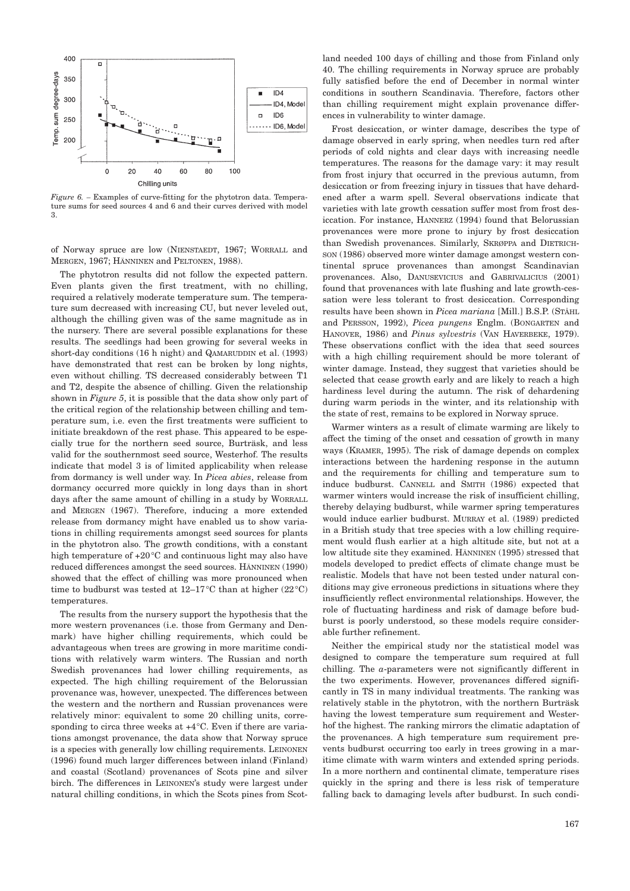

*Figure 6. –* Examples of curve-fitting for the phytotron data. Temperature sums for seed sources 4 and 6 and their curves derived with model 3.

of Norway spruce are low (NIENSTAEDT, 1967; WORRALL and MERGEN, 1967; HÄNNINEN and PELTONEN, 1988).

The phytotron results did not follow the expected pattern. Even plants given the first treatment, with no chilling, required a relatively moderate temperature sum. The temperature sum decreased with increasing CU, but never leveled out, although the chilling given was of the same magnitude as in the nursery. There are several possible explanations for these results. The seedlings had been growing for several weeks in short-day conditions (16 h night) and QAMARUDDIN et al. (1993) have demonstrated that rest can be broken by long nights, even without chilling. TS decreased considerably between T1 and T2, despite the absence of chilling. Given the relationship shown in *Figure 5*, it is possible that the data show only part of the critical region of the relationship between chilling and temperature sum, i.e. even the first treatments were sufficient to initiate breakdown of the rest phase. This appeared to be especially true for the northern seed source, Burträsk, and less valid for the southernmost seed source, Westerhof. The results indicate that model 3 is of limited applicability when release from dormancy is well under way. In *Picea abies*, release from dormancy occurred more quickly in long days than in short days after the same amount of chilling in a study by WORRALL and MERGEN (1967). Therefore, inducing a more extended release from dormancy might have enabled us to show variations in chilling requirements amongst seed sources for plants in the phytotron also. The growth conditions, with a constant high temperature of +20°C and continuous light may also have reduced differences amongst the seed sources. HÄNNINEN (1990) showed that the effect of chilling was more pronounced when time to budburst was tested at  $12-17\degree C$  than at higher (22 $\degree C$ ) temperatures.

The results from the nursery support the hypothesis that the more western provenances (i.e. those from Germany and Denmark) have higher chilling requirements, which could be advantageous when trees are growing in more maritime conditions with relatively warm winters. The Russian and north Swedish provenances had lower chilling requirements, as expected. The high chilling requirement of the Belorussian provenance was, however, unexpected. The differences between the western and the northern and Russian provenances were relatively minor: equivalent to some 20 chilling units, corresponding to circa three weeks at  $+4^{\circ}$ C. Even if there are variations amongst provenance, the data show that Norway spruce is a species with generally low chilling requirements. LEINONEN (1996) found much larger differences between inland (Finland) and coastal (Scotland) provenances of Scots pine and silver birch. The differences in LEINONEN's study were largest under natural chilling conditions, in which the Scots pines from Scotland needed 100 days of chilling and those from Finland only 40. The chilling requirements in Norway spruce are probably fully satisfied before the end of December in normal winter conditions in southern Scandinavia. Therefore, factors other than chilling requirement might explain provenance differences in vulnerability to winter damage.

Frost desiccation, or winter damage, describes the type of damage observed in early spring, when needles turn red after periods of cold nights and clear days with increasing needle temperatures. The reasons for the damage vary: it may result from frost injury that occurred in the previous autumn, from desiccation or from freezing injury in tissues that have dehardened after a warm spell. Several observations indicate that varieties with late growth cessation suffer most from frost desiccation. For instance, HANNERZ (1994) found that Belorussian provenances were more prone to injury by frost desiccation than Swedish provenances. Similarly, SKRØPPA and DIETRICH-SON (1986) observed more winter damage amongst western continental spruce provenances than amongst Scandinavian provenances. Also, DANUSEVICIUS and GABRIVALICIUS (2001) found that provenances with late flushing and late growth-cessation were less tolerant to frost desiccation. Corresponding results have been shown in *Picea mariana* [Mill.] B.S.P. (STÅHL and PERSSON, 1992), *Picea pungens* Englm. (BONGARTEN and HANOVER, 1986) and *Pinus sylvestris* (VAN HAVERBEKE, 1979). These observations conflict with the idea that seed sources with a high chilling requirement should be more tolerant of winter damage. Instead, they suggest that varieties should be selected that cease growth early and are likely to reach a high hardiness level during the autumn. The risk of dehardening during warm periods in the winter, and its relationship with the state of rest, remains to be explored in Norway spruce.

Warmer winters as a result of climate warming are likely to affect the timing of the onset and cessation of growth in many ways (KRAMER, 1995). The risk of damage depends on complex interactions between the hardening response in the autumn and the requirements for chilling and temperature sum to induce budburst. CANNELL and SMITH (1986) expected that warmer winters would increase the risk of insufficient chilling, thereby delaying budburst, while warmer spring temperatures would induce earlier budburst. MURRAY et al. (1989) predicted in a British study that tree species with a low chilling requirement would flush earlier at a high altitude site, but not at a low altitude site they examined. HÄNNINEN (1995) stressed that models developed to predict effects of climate change must be realistic. Models that have not been tested under natural conditions may give erroneous predictions in situations where they insufficiently reflect environmental relationships. However, the role of fluctuating hardiness and risk of damage before budburst is poorly understood, so these models require considerable further refinement.

Neither the empirical study nor the statistical model was designed to compare the temperature sum required at full chilling. The *a*-parameters were not significantly different in the two experiments. However, provenances differed significantly in TS in many individual treatments. The ranking was relatively stable in the phytotron, with the northern Burträsk having the lowest temperature sum requirement and Westerhof the highest. The ranking mirrors the climatic adaptation of the provenances. A high temperature sum requirement prevents budburst occurring too early in trees growing in a maritime climate with warm winters and extended spring periods. In a more northern and continental climate, temperature rises quickly in the spring and there is less risk of temperature falling back to damaging levels after budburst. In such condi